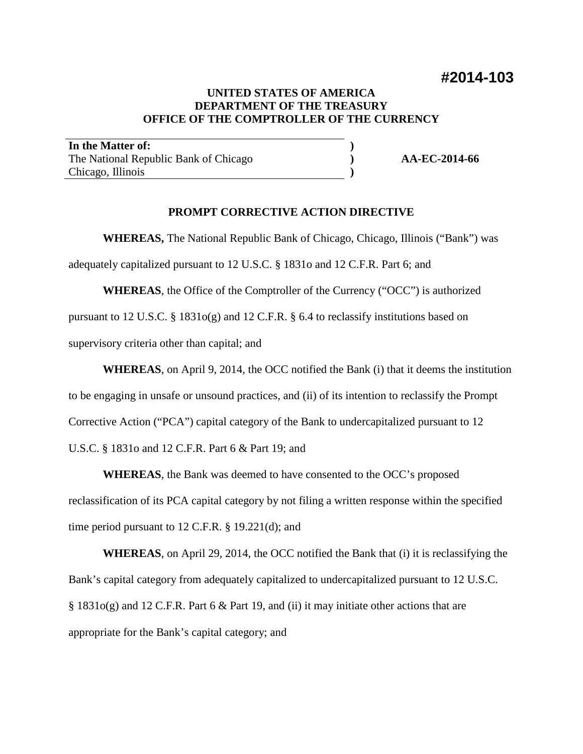# **UNITED STATES OF AMERICA DEPARTMENT OF THE TREASURY OFFICE OF THE COMPTROLLER OF THE CURRENCY**

**) ) )**

**In the Matter of:** The National Republic Bank of Chicago Chicago, Illinois

**AA-EC-2014-66**

# **PROMPT CORRECTIVE ACTION DIRECTIVE**

**WHEREAS,** The National Republic Bank of Chicago, Chicago, Illinois ("Bank") was

adequately capitalized pursuant to 12 U.S.C. § 1831o and 12 C.F.R. Part 6; and

**WHEREAS**, the Office of the Comptroller of the Currency ("OCC") is authorized pursuant to 12 U.S.C. § 1831o(g) and 12 C.F.R. § 6.4 to reclassify institutions based on supervisory criteria other than capital; and

**WHEREAS**, on April 9, 2014, the OCC notified the Bank (i) that it deems the institution to be engaging in unsafe or unsound practices, and (ii) of its intention to reclassify the Prompt Corrective Action ("PCA") capital category of the Bank to undercapitalized pursuant to 12 U.S.C. § 1831o and 12 C.F.R. Part 6 & Part 19; and

**WHEREAS**, the Bank was deemed to have consented to the OCC's proposed reclassification of its PCA capital category by not filing a written response within the specified time period pursuant to 12 C.F.R. § 19.221(d); and

**WHEREAS**, on April 29, 2014, the OCC notified the Bank that (i) it is reclassifying the Bank's capital category from adequately capitalized to undercapitalized pursuant to 12 U.S.C.  $\S$  1831o(g) and 12 C.F.R. Part 6 & Part 19, and (ii) it may initiate other actions that are appropriate for the Bank's capital category; and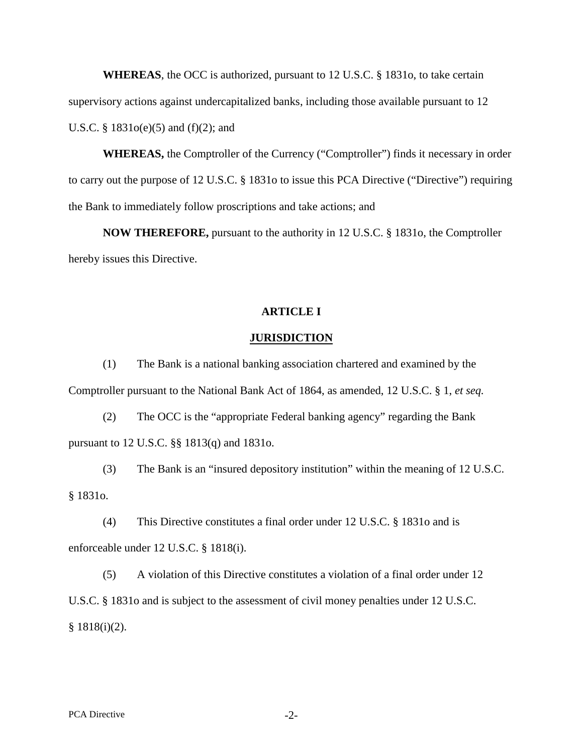**WHEREAS**, the OCC is authorized, pursuant to 12 U.S.C. § 1831o, to take certain supervisory actions against undercapitalized banks, including those available pursuant to 12 U.S.C. §  $1831o(e)(5)$  and  $(f)(2)$ ; and

**WHEREAS,** the Comptroller of the Currency ("Comptroller") finds it necessary in order to carry out the purpose of 12 U.S.C. § 1831o to issue this PCA Directive ("Directive") requiring the Bank to immediately follow proscriptions and take actions; and

**NOW THEREFORE,** pursuant to the authority in 12 U.S.C. § 1831o, the Comptroller hereby issues this Directive.

## **ARTICLE I**

### **JURISDICTION**

(1) The Bank is a national banking association chartered and examined by the Comptroller pursuant to the National Bank Act of 1864, as amended, 12 U.S.C. § 1, *et seq.*

(2) The OCC is the "appropriate Federal banking agency" regarding the Bank pursuant to 12 U.S.C. §§ 1813(q) and 1831o.

(3) The Bank is an "insured depository institution" within the meaning of 12 U.S.C. § 1831o.

(4) This Directive constitutes a final order under 12 U.S.C. § 1831o and is enforceable under 12 U.S.C. § 1818(i).

(5) A violation of this Directive constitutes a violation of a final order under 12 U.S.C. § 1831o and is subject to the assessment of civil money penalties under 12 U.S.C.  $§ 1818(i)(2).$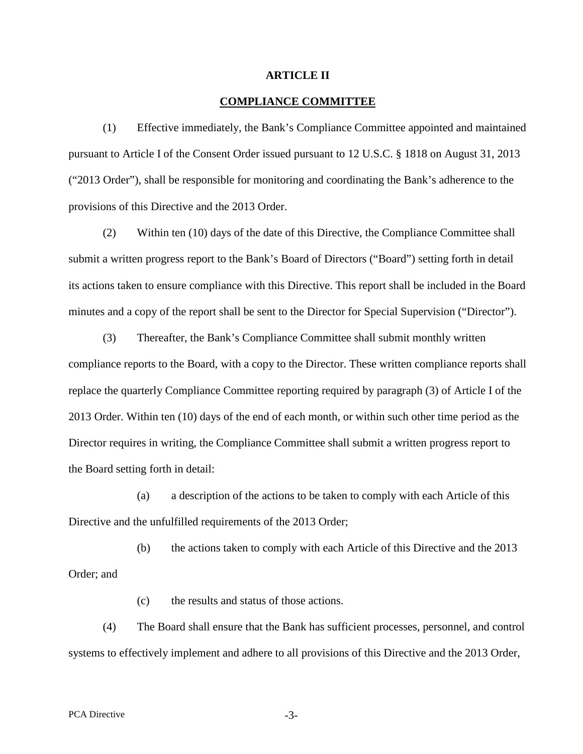### **ARTICLE II**

### **COMPLIANCE COMMITTEE**

(1) Effective immediately, the Bank's Compliance Committee appointed and maintained pursuant to Article I of the Consent Order issued pursuant to 12 U.S.C. § 1818 on August 31, 2013 ("2013 Order"), shall be responsible for monitoring and coordinating the Bank's adherence to the provisions of this Directive and the 2013 Order.

(2) Within ten (10) days of the date of this Directive, the Compliance Committee shall submit a written progress report to the Bank's Board of Directors ("Board") setting forth in detail its actions taken to ensure compliance with this Directive. This report shall be included in the Board minutes and a copy of the report shall be sent to the Director for Special Supervision ("Director").

(3) Thereafter, the Bank's Compliance Committee shall submit monthly written compliance reports to the Board, with a copy to the Director. These written compliance reports shall replace the quarterly Compliance Committee reporting required by paragraph (3) of Article I of the 2013 Order. Within ten (10) days of the end of each month, or within such other time period as the Director requires in writing, the Compliance Committee shall submit a written progress report to the Board setting forth in detail:

(a) a description of the actions to be taken to comply with each Article of this Directive and the unfulfilled requirements of the 2013 Order;

(b) the actions taken to comply with each Article of this Directive and the 2013 Order; and

(c) the results and status of those actions.

(4) The Board shall ensure that the Bank has sufficient processes, personnel, and control systems to effectively implement and adhere to all provisions of this Directive and the 2013 Order,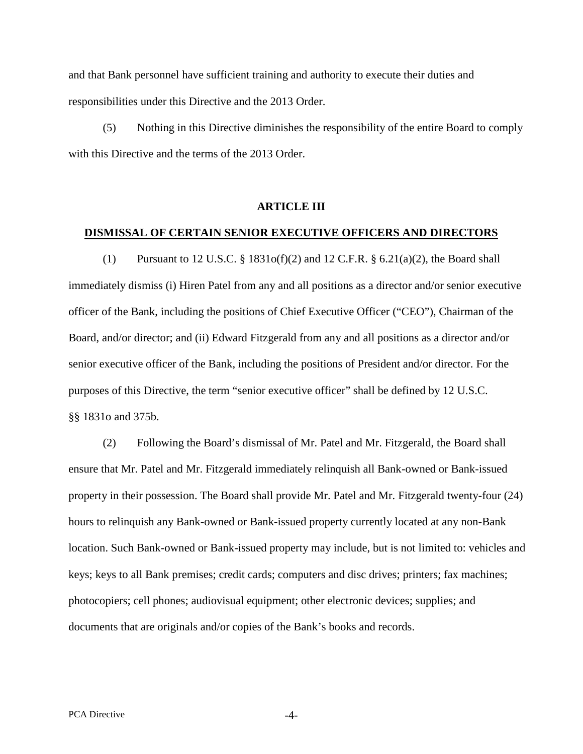and that Bank personnel have sufficient training and authority to execute their duties and responsibilities under this Directive and the 2013 Order.

(5) Nothing in this Directive diminishes the responsibility of the entire Board to comply with this Directive and the terms of the 2013 Order.

### **ARTICLE III**

#### **DISMISSAL OF CERTAIN SENIOR EXECUTIVE OFFICERS AND DIRECTORS**

(1) Pursuant to 12 U.S.C.  $\S 1831o(f)(2)$  and 12 C.F.R.  $\S 6.21(a)(2)$ , the Board shall immediately dismiss (i) Hiren Patel from any and all positions as a director and/or senior executive officer of the Bank, including the positions of Chief Executive Officer ("CEO"), Chairman of the Board, and/or director; and (ii) Edward Fitzgerald from any and all positions as a director and/or senior executive officer of the Bank, including the positions of President and/or director. For the purposes of this Directive, the term "senior executive officer" shall be defined by 12 U.S.C. §§ 1831o and 375b.

(2) Following the Board's dismissal of Mr. Patel and Mr. Fitzgerald, the Board shall ensure that Mr. Patel and Mr. Fitzgerald immediately relinquish all Bank-owned or Bank-issued property in their possession. The Board shall provide Mr. Patel and Mr. Fitzgerald twenty-four (24) hours to relinquish any Bank-owned or Bank-issued property currently located at any non-Bank location. Such Bank-owned or Bank-issued property may include, but is not limited to: vehicles and keys; keys to all Bank premises; credit cards; computers and disc drives; printers; fax machines; photocopiers; cell phones; audiovisual equipment; other electronic devices; supplies; and documents that are originals and/or copies of the Bank's books and records.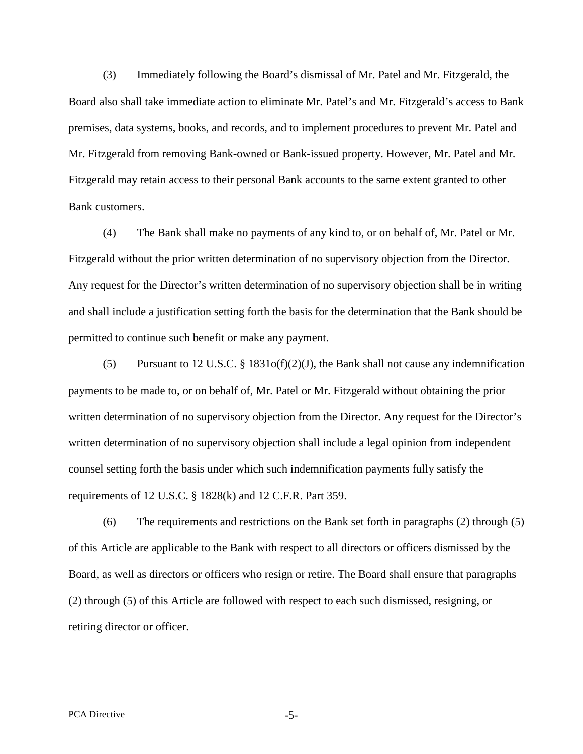(3) Immediately following the Board's dismissal of Mr. Patel and Mr. Fitzgerald, the Board also shall take immediate action to eliminate Mr. Patel's and Mr. Fitzgerald's access to Bank premises, data systems, books, and records, and to implement procedures to prevent Mr. Patel and Mr. Fitzgerald from removing Bank-owned or Bank-issued property. However, Mr. Patel and Mr. Fitzgerald may retain access to their personal Bank accounts to the same extent granted to other Bank customers.

(4) The Bank shall make no payments of any kind to, or on behalf of, Mr. Patel or Mr. Fitzgerald without the prior written determination of no supervisory objection from the Director. Any request for the Director's written determination of no supervisory objection shall be in writing and shall include a justification setting forth the basis for the determination that the Bank should be permitted to continue such benefit or make any payment.

(5) Pursuant to 12 U.S.C. § 1831o(f)(2)(J), the Bank shall not cause any indemnification payments to be made to, or on behalf of, Mr. Patel or Mr. Fitzgerald without obtaining the prior written determination of no supervisory objection from the Director. Any request for the Director's written determination of no supervisory objection shall include a legal opinion from independent counsel setting forth the basis under which such indemnification payments fully satisfy the requirements of 12 U.S.C. § 1828(k) and 12 C.F.R. Part 359.

(6) The requirements and restrictions on the Bank set forth in paragraphs (2) through (5) of this Article are applicable to the Bank with respect to all directors or officers dismissed by the Board, as well as directors or officers who resign or retire. The Board shall ensure that paragraphs (2) through (5) of this Article are followed with respect to each such dismissed, resigning, or retiring director or officer.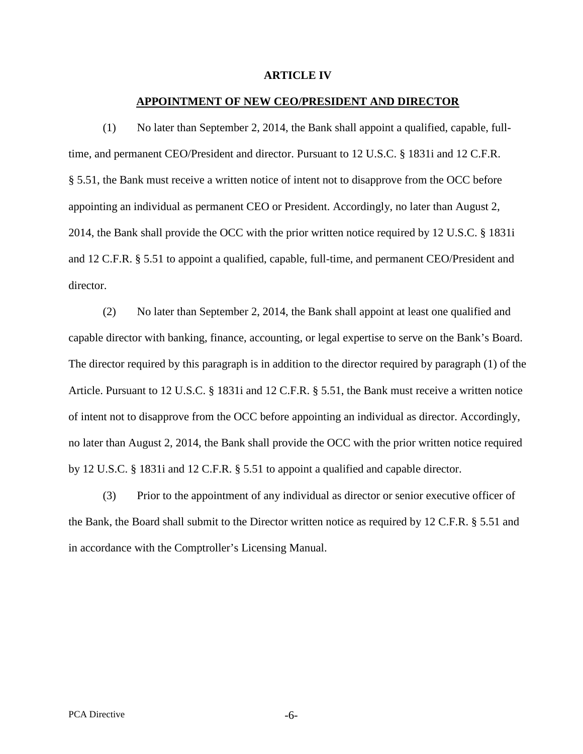#### **ARTICLE IV**

### **APPOINTMENT OF NEW CEO/PRESIDENT AND DIRECTOR**

(1) No later than September 2, 2014, the Bank shall appoint a qualified, capable, fulltime, and permanent CEO/President and director. Pursuant to 12 U.S.C. § 1831i and 12 C.F.R. § 5.51, the Bank must receive a written notice of intent not to disapprove from the OCC before appointing an individual as permanent CEO or President. Accordingly, no later than August 2, 2014, the Bank shall provide the OCC with the prior written notice required by 12 U.S.C. § 1831i and 12 C.F.R. § 5.51 to appoint a qualified, capable, full-time, and permanent CEO/President and director.

(2) No later than September 2, 2014, the Bank shall appoint at least one qualified and capable director with banking, finance, accounting, or legal expertise to serve on the Bank's Board. The director required by this paragraph is in addition to the director required by paragraph (1) of the Article. Pursuant to 12 U.S.C. § 1831i and 12 C.F.R. § 5.51, the Bank must receive a written notice of intent not to disapprove from the OCC before appointing an individual as director. Accordingly, no later than August 2, 2014, the Bank shall provide the OCC with the prior written notice required by 12 U.S.C. § 1831i and 12 C.F.R. § 5.51 to appoint a qualified and capable director.

(3) Prior to the appointment of any individual as director or senior executive officer of the Bank, the Board shall submit to the Director written notice as required by 12 C.F.R. § 5.51 and in accordance with the Comptroller's Licensing Manual.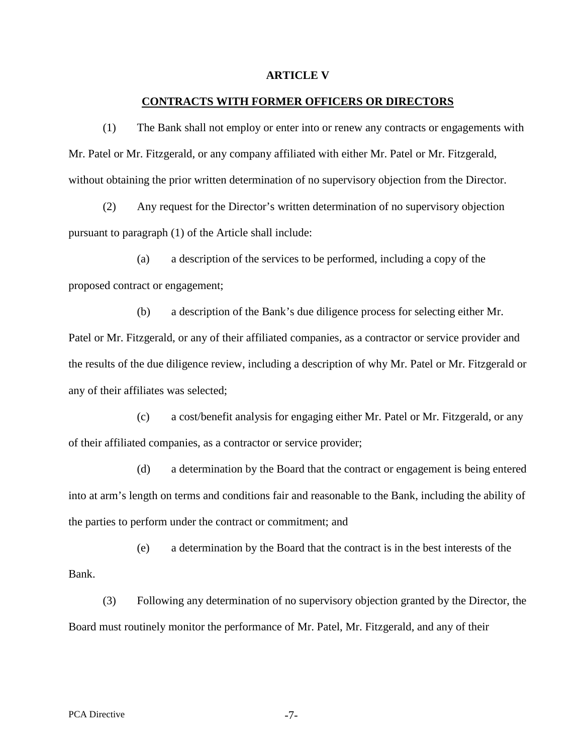#### **ARTICLE V**

### **CONTRACTS WITH FORMER OFFICERS OR DIRECTORS**

(1) The Bank shall not employ or enter into or renew any contracts or engagements with Mr. Patel or Mr. Fitzgerald, or any company affiliated with either Mr. Patel or Mr. Fitzgerald, without obtaining the prior written determination of no supervisory objection from the Director.

(2) Any request for the Director's written determination of no supervisory objection pursuant to paragraph (1) of the Article shall include:

(a) a description of the services to be performed, including a copy of the proposed contract or engagement;

(b) a description of the Bank's due diligence process for selecting either Mr. Patel or Mr. Fitzgerald, or any of their affiliated companies, as a contractor or service provider and the results of the due diligence review, including a description of why Mr. Patel or Mr. Fitzgerald or any of their affiliates was selected;

(c) a cost/benefit analysis for engaging either Mr. Patel or Mr. Fitzgerald, or any of their affiliated companies, as a contractor or service provider;

(d) a determination by the Board that the contract or engagement is being entered into at arm's length on terms and conditions fair and reasonable to the Bank, including the ability of the parties to perform under the contract or commitment; and

(e) a determination by the Board that the contract is in the best interests of the Bank.

(3) Following any determination of no supervisory objection granted by the Director, the Board must routinely monitor the performance of Mr. Patel, Mr. Fitzgerald, and any of their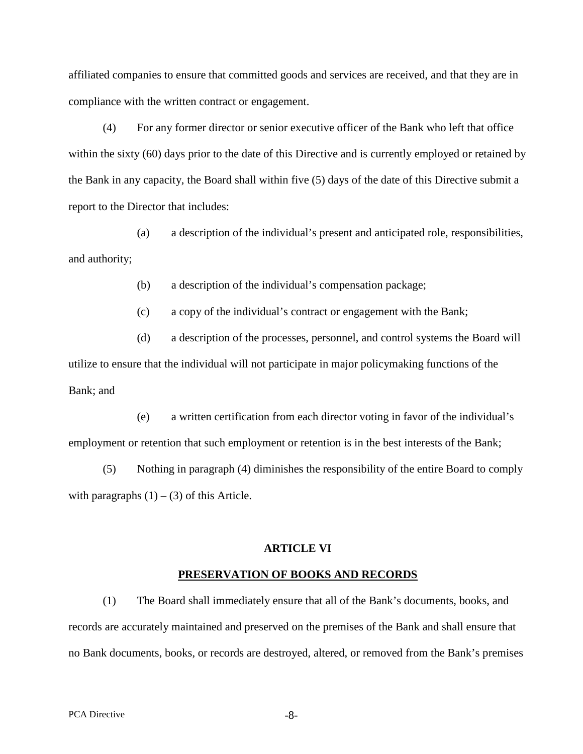affiliated companies to ensure that committed goods and services are received, and that they are in compliance with the written contract or engagement.

(4) For any former director or senior executive officer of the Bank who left that office within the sixty (60) days prior to the date of this Directive and is currently employed or retained by the Bank in any capacity, the Board shall within five (5) days of the date of this Directive submit a report to the Director that includes:

(a) a description of the individual's present and anticipated role, responsibilities, and authority;

(b) a description of the individual's compensation package;

(c) a copy of the individual's contract or engagement with the Bank;

(d) a description of the processes, personnel, and control systems the Board will utilize to ensure that the individual will not participate in major policymaking functions of the Bank; and

(e) a written certification from each director voting in favor of the individual's employment or retention that such employment or retention is in the best interests of the Bank;

(5) Nothing in paragraph (4) diminishes the responsibility of the entire Board to comply with paragraphs  $(1) - (3)$  of this Article.

## **ARTICLE VI**

### **PRESERVATION OF BOOKS AND RECORDS**

(1) The Board shall immediately ensure that all of the Bank's documents, books, and records are accurately maintained and preserved on the premises of the Bank and shall ensure that no Bank documents, books, or records are destroyed, altered, or removed from the Bank's premises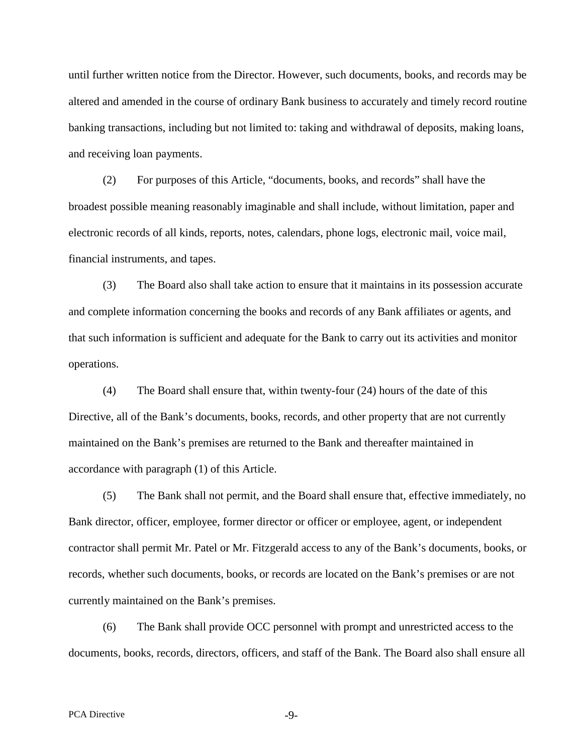until further written notice from the Director. However, such documents, books, and records may be altered and amended in the course of ordinary Bank business to accurately and timely record routine banking transactions, including but not limited to: taking and withdrawal of deposits, making loans, and receiving loan payments.

(2) For purposes of this Article, "documents, books, and records" shall have the broadest possible meaning reasonably imaginable and shall include, without limitation, paper and electronic records of all kinds, reports, notes, calendars, phone logs, electronic mail, voice mail, financial instruments, and tapes.

(3) The Board also shall take action to ensure that it maintains in its possession accurate and complete information concerning the books and records of any Bank affiliates or agents, and that such information is sufficient and adequate for the Bank to carry out its activities and monitor operations.

(4) The Board shall ensure that, within twenty-four (24) hours of the date of this Directive, all of the Bank's documents, books, records, and other property that are not currently maintained on the Bank's premises are returned to the Bank and thereafter maintained in accordance with paragraph (1) of this Article.

(5) The Bank shall not permit, and the Board shall ensure that, effective immediately, no Bank director, officer, employee, former director or officer or employee, agent, or independent contractor shall permit Mr. Patel or Mr. Fitzgerald access to any of the Bank's documents, books, or records, whether such documents, books, or records are located on the Bank's premises or are not currently maintained on the Bank's premises.

(6) The Bank shall provide OCC personnel with prompt and unrestricted access to the documents, books, records, directors, officers, and staff of the Bank. The Board also shall ensure all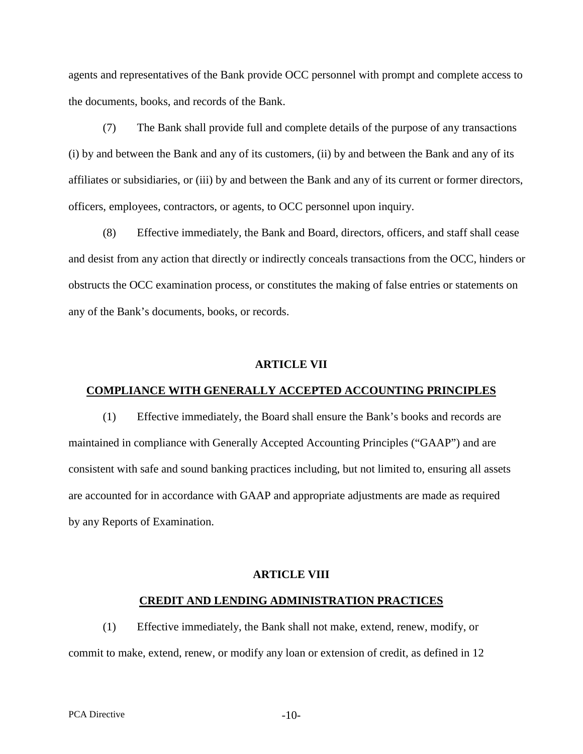agents and representatives of the Bank provide OCC personnel with prompt and complete access to the documents, books, and records of the Bank.

(7) The Bank shall provide full and complete details of the purpose of any transactions (i) by and between the Bank and any of its customers, (ii) by and between the Bank and any of its affiliates or subsidiaries, or (iii) by and between the Bank and any of its current or former directors, officers, employees, contractors, or agents, to OCC personnel upon inquiry.

(8) Effective immediately, the Bank and Board, directors, officers, and staff shall cease and desist from any action that directly or indirectly conceals transactions from the OCC, hinders or obstructs the OCC examination process, or constitutes the making of false entries or statements on any of the Bank's documents, books, or records.

### **ARTICLE VII**

### **COMPLIANCE WITH GENERALLY ACCEPTED ACCOUNTING PRINCIPLES**

(1) Effective immediately, the Board shall ensure the Bank's books and records are maintained in compliance with Generally Accepted Accounting Principles ("GAAP") and are consistent with safe and sound banking practices including, but not limited to, ensuring all assets are accounted for in accordance with GAAP and appropriate adjustments are made as required by any Reports of Examination.

#### **ARTICLE VIII**

### **CREDIT AND LENDING ADMINISTRATION PRACTICES**

(1) Effective immediately, the Bank shall not make, extend, renew, modify, or commit to make, extend, renew, or modify any loan or extension of credit, as defined in 12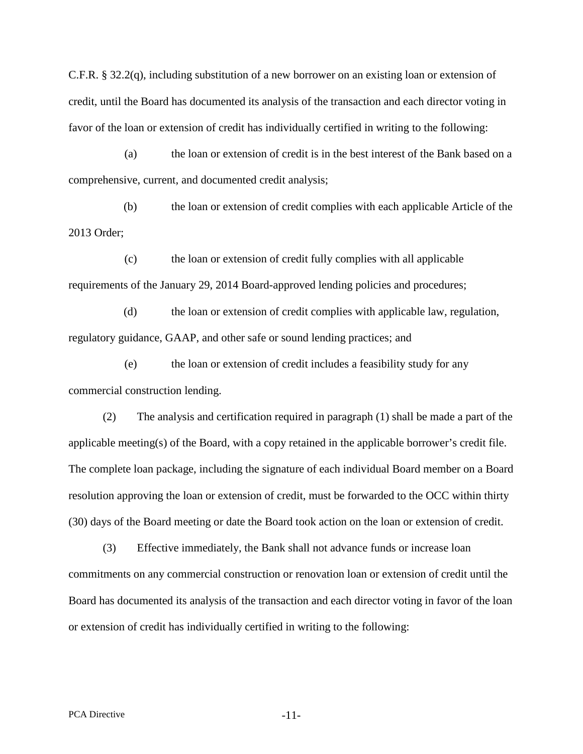C.F.R. § 32.2(q), including substitution of a new borrower on an existing loan or extension of credit, until the Board has documented its analysis of the transaction and each director voting in favor of the loan or extension of credit has individually certified in writing to the following:

(a) the loan or extension of credit is in the best interest of the Bank based on a comprehensive, current, and documented credit analysis;

(b) the loan or extension of credit complies with each applicable Article of the 2013 Order;

(c) the loan or extension of credit fully complies with all applicable requirements of the January 29, 2014 Board-approved lending policies and procedures;

(d) the loan or extension of credit complies with applicable law, regulation, regulatory guidance, GAAP, and other safe or sound lending practices; and

(e) the loan or extension of credit includes a feasibility study for any commercial construction lending.

(2) The analysis and certification required in paragraph (1) shall be made a part of the applicable meeting(s) of the Board, with a copy retained in the applicable borrower's credit file. The complete loan package, including the signature of each individual Board member on a Board resolution approving the loan or extension of credit, must be forwarded to the OCC within thirty (30) days of the Board meeting or date the Board took action on the loan or extension of credit.

(3) Effective immediately, the Bank shall not advance funds or increase loan commitments on any commercial construction or renovation loan or extension of credit until the Board has documented its analysis of the transaction and each director voting in favor of the loan or extension of credit has individually certified in writing to the following: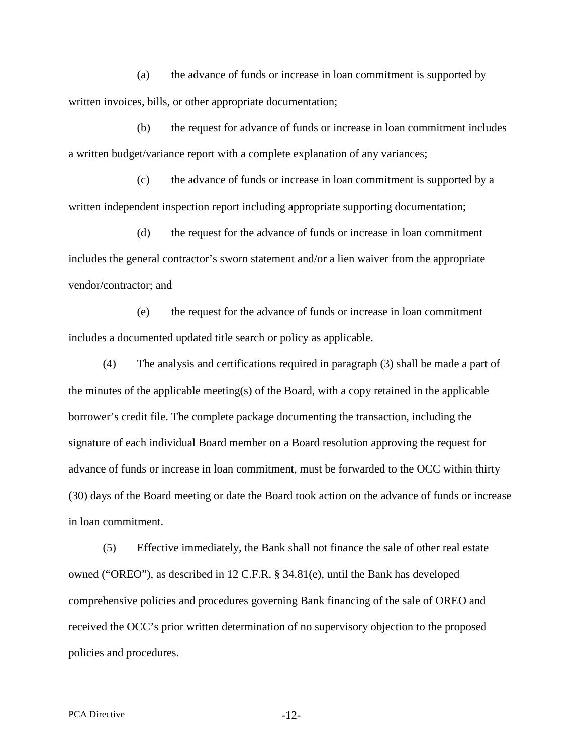(a) the advance of funds or increase in loan commitment is supported by written invoices, bills, or other appropriate documentation;

(b) the request for advance of funds or increase in loan commitment includes a written budget/variance report with a complete explanation of any variances;

(c) the advance of funds or increase in loan commitment is supported by a written independent inspection report including appropriate supporting documentation;

(d) the request for the advance of funds or increase in loan commitment includes the general contractor's sworn statement and/or a lien waiver from the appropriate vendor/contractor; and

(e) the request for the advance of funds or increase in loan commitment includes a documented updated title search or policy as applicable.

(4) The analysis and certifications required in paragraph (3) shall be made a part of the minutes of the applicable meeting(s) of the Board, with a copy retained in the applicable borrower's credit file. The complete package documenting the transaction, including the signature of each individual Board member on a Board resolution approving the request for advance of funds or increase in loan commitment, must be forwarded to the OCC within thirty (30) days of the Board meeting or date the Board took action on the advance of funds or increase in loan commitment.

(5) Effective immediately, the Bank shall not finance the sale of other real estate owned ("OREO"), as described in 12 C.F.R. § 34.81(e), until the Bank has developed comprehensive policies and procedures governing Bank financing of the sale of OREO and received the OCC's prior written determination of no supervisory objection to the proposed policies and procedures.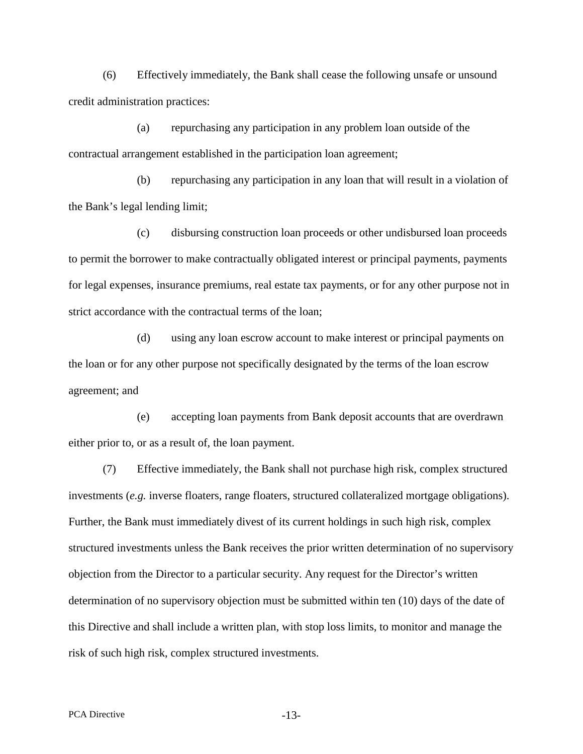(6) Effectively immediately, the Bank shall cease the following unsafe or unsound credit administration practices:

(a) repurchasing any participation in any problem loan outside of the contractual arrangement established in the participation loan agreement;

(b) repurchasing any participation in any loan that will result in a violation of the Bank's legal lending limit;

(c) disbursing construction loan proceeds or other undisbursed loan proceeds to permit the borrower to make contractually obligated interest or principal payments, payments for legal expenses, insurance premiums, real estate tax payments, or for any other purpose not in strict accordance with the contractual terms of the loan;

(d) using any loan escrow account to make interest or principal payments on the loan or for any other purpose not specifically designated by the terms of the loan escrow agreement; and

(e) accepting loan payments from Bank deposit accounts that are overdrawn either prior to, or as a result of, the loan payment.

(7) Effective immediately, the Bank shall not purchase high risk, complex structured investments (*e.g.* inverse floaters, range floaters, structured collateralized mortgage obligations). Further, the Bank must immediately divest of its current holdings in such high risk, complex structured investments unless the Bank receives the prior written determination of no supervisory objection from the Director to a particular security. Any request for the Director's written determination of no supervisory objection must be submitted within ten (10) days of the date of this Directive and shall include a written plan, with stop loss limits, to monitor and manage the risk of such high risk, complex structured investments.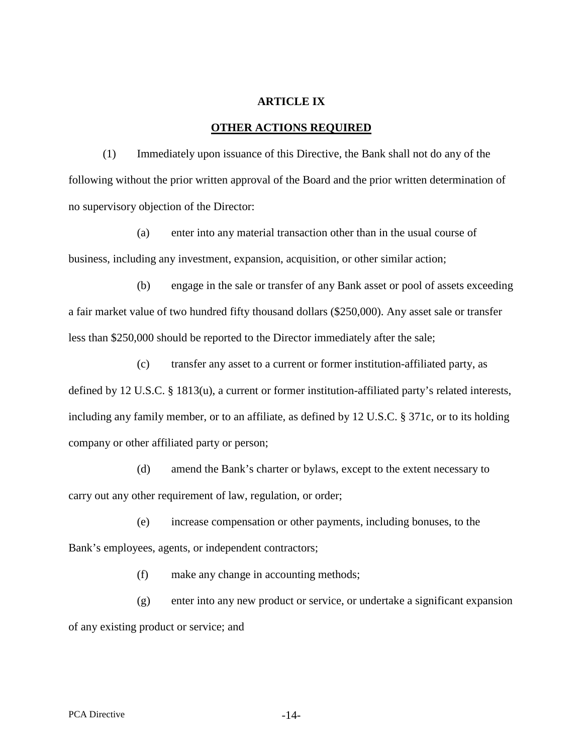### **ARTICLE IX**

### **OTHER ACTIONS REQUIRED**

(1) Immediately upon issuance of this Directive, the Bank shall not do any of the following without the prior written approval of the Board and the prior written determination of no supervisory objection of the Director:

(a) enter into any material transaction other than in the usual course of business, including any investment, expansion, acquisition, or other similar action;

(b) engage in the sale or transfer of any Bank asset or pool of assets exceeding a fair market value of two hundred fifty thousand dollars (\$250,000). Any asset sale or transfer less than \$250,000 should be reported to the Director immediately after the sale;

(c) transfer any asset to a current or former institution-affiliated party, as defined by 12 U.S.C. § 1813(u), a current or former institution-affiliated party's related interests, including any family member, or to an affiliate, as defined by 12 U.S.C. § 371c, or to its holding company or other affiliated party or person;

(d) amend the Bank's charter or bylaws, except to the extent necessary to carry out any other requirement of law, regulation, or order;

(e) increase compensation or other payments, including bonuses, to the Bank's employees, agents, or independent contractors;

(f) make any change in accounting methods;

(g) enter into any new product or service, or undertake a significant expansion of any existing product or service; and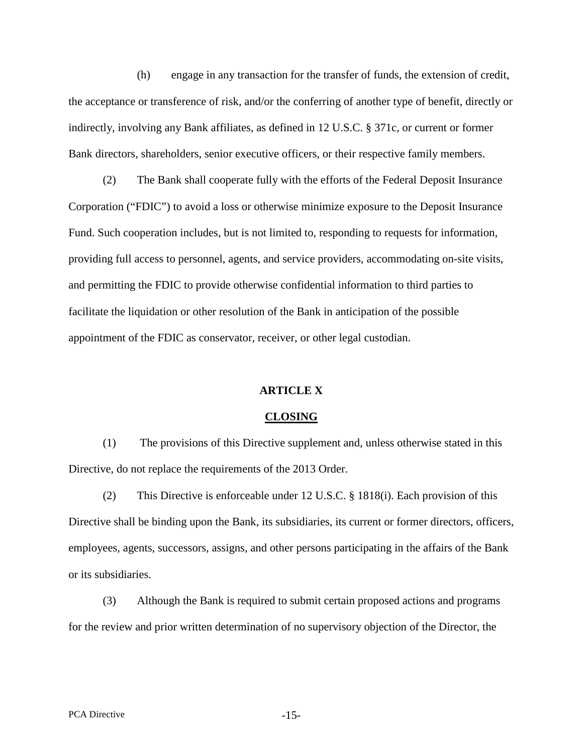(h) engage in any transaction for the transfer of funds, the extension of credit, the acceptance or transference of risk, and/or the conferring of another type of benefit, directly or indirectly, involving any Bank affiliates, as defined in 12 U.S.C. § 371c, or current or former Bank directors, shareholders, senior executive officers, or their respective family members.

(2) The Bank shall cooperate fully with the efforts of the Federal Deposit Insurance Corporation ("FDIC") to avoid a loss or otherwise minimize exposure to the Deposit Insurance Fund. Such cooperation includes, but is not limited to, responding to requests for information, providing full access to personnel, agents, and service providers, accommodating on-site visits, and permitting the FDIC to provide otherwise confidential information to third parties to facilitate the liquidation or other resolution of the Bank in anticipation of the possible appointment of the FDIC as conservator, receiver, or other legal custodian.

### **ARTICLE X**

#### **CLOSING**

(1) The provisions of this Directive supplement and, unless otherwise stated in this Directive, do not replace the requirements of the 2013 Order.

(2) This Directive is enforceable under 12 U.S.C. § 1818(i). Each provision of this Directive shall be binding upon the Bank, its subsidiaries, its current or former directors, officers, employees, agents, successors, assigns, and other persons participating in the affairs of the Bank or its subsidiaries.

(3) Although the Bank is required to submit certain proposed actions and programs for the review and prior written determination of no supervisory objection of the Director, the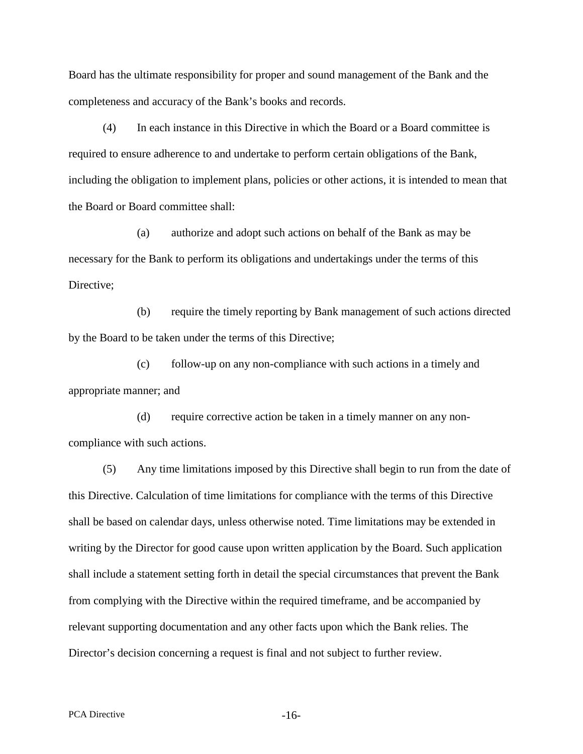Board has the ultimate responsibility for proper and sound management of the Bank and the completeness and accuracy of the Bank's books and records.

(4) In each instance in this Directive in which the Board or a Board committee is required to ensure adherence to and undertake to perform certain obligations of the Bank, including the obligation to implement plans, policies or other actions, it is intended to mean that the Board or Board committee shall:

(a) authorize and adopt such actions on behalf of the Bank as may be necessary for the Bank to perform its obligations and undertakings under the terms of this Directive:

(b) require the timely reporting by Bank management of such actions directed by the Board to be taken under the terms of this Directive;

(c) follow-up on any non-compliance with such actions in a timely and appropriate manner; and

(d) require corrective action be taken in a timely manner on any noncompliance with such actions.

(5) Any time limitations imposed by this Directive shall begin to run from the date of this Directive. Calculation of time limitations for compliance with the terms of this Directive shall be based on calendar days, unless otherwise noted. Time limitations may be extended in writing by the Director for good cause upon written application by the Board. Such application shall include a statement setting forth in detail the special circumstances that prevent the Bank from complying with the Directive within the required timeframe, and be accompanied by relevant supporting documentation and any other facts upon which the Bank relies. The Director's decision concerning a request is final and not subject to further review.